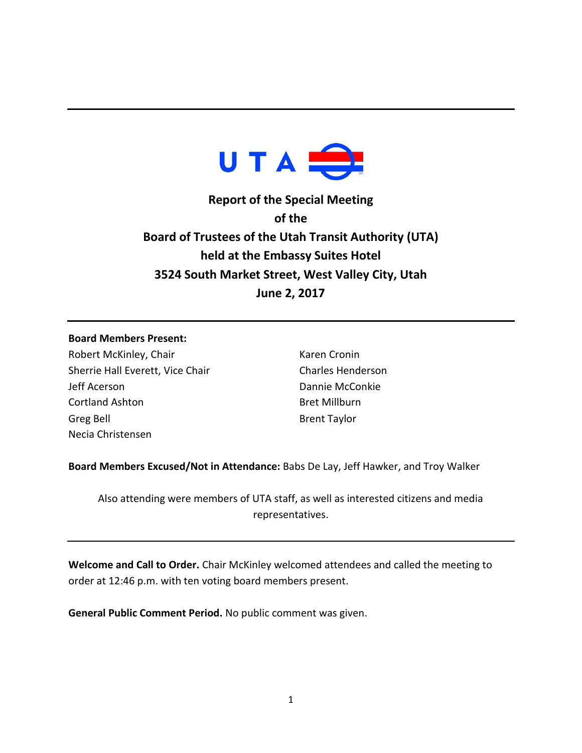

**Report of the Special Meeting of the Board of Trustees of the Utah Transit Authority (UTA) held at the Embassy Suites Hotel 3524 South Market Street, West Valley City, Utah June 2, 2017**

## **Board Members Present:**

Robert McKinley, Chair Sherrie Hall Everett, Vice Chair Jeff Acerson Cortland Ashton Greg Bell Necia Christensen

Karen Cronin Charles Henderson Dannie McConkie Bret Millburn Brent Taylor

**Board Members Excused/Not in Attendance:** Babs De Lay, Jeff Hawker, and Troy Walker

Also attending were members of UTA staff, as well as interested citizens and media representatives.

**Welcome and Call to Order.** Chair McKinley welcomed attendees and called the meeting to order at 12:46 p.m. with ten voting board members present.

**General Public Comment Period.** No public comment was given.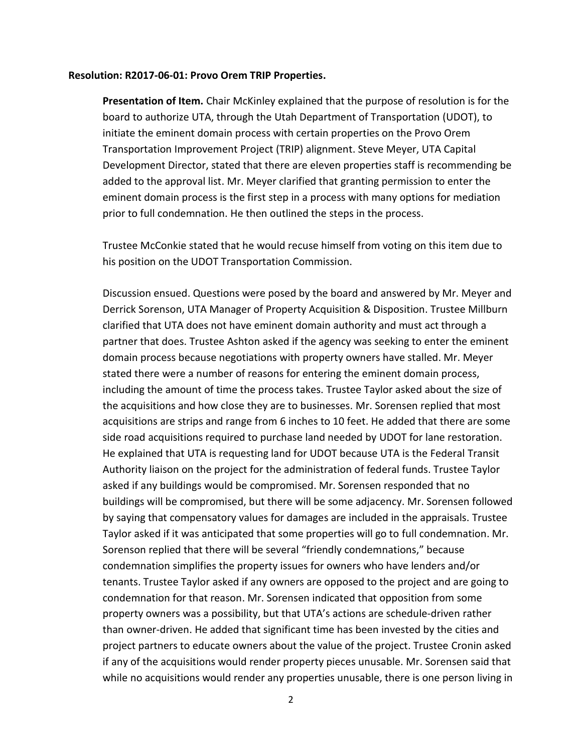## **Resolution: R2017-06-01: Provo Orem TRIP Properties.**

**Presentation of Item.** Chair McKinley explained that the purpose of resolution is for the board to authorize UTA, through the Utah Department of Transportation (UDOT), to initiate the eminent domain process with certain properties on the Provo Orem Transportation Improvement Project (TRIP) alignment. Steve Meyer, UTA Capital Development Director, stated that there are eleven properties staff is recommending be added to the approval list. Mr. Meyer clarified that granting permission to enter the eminent domain process is the first step in a process with many options for mediation prior to full condemnation. He then outlined the steps in the process.

Trustee McConkie stated that he would recuse himself from voting on this item due to his position on the UDOT Transportation Commission.

Discussion ensued. Questions were posed by the board and answered by Mr. Meyer and Derrick Sorenson, UTA Manager of Property Acquisition & Disposition. Trustee Millburn clarified that UTA does not have eminent domain authority and must act through a partner that does. Trustee Ashton asked if the agency was seeking to enter the eminent domain process because negotiations with property owners have stalled. Mr. Meyer stated there were a number of reasons for entering the eminent domain process, including the amount of time the process takes. Trustee Taylor asked about the size of the acquisitions and how close they are to businesses. Mr. Sorensen replied that most acquisitions are strips and range from 6 inches to 10 feet. He added that there are some side road acquisitions required to purchase land needed by UDOT for lane restoration. He explained that UTA is requesting land for UDOT because UTA is the Federal Transit Authority liaison on the project for the administration of federal funds. Trustee Taylor asked if any buildings would be compromised. Mr. Sorensen responded that no buildings will be compromised, but there will be some adjacency. Mr. Sorensen followed by saying that compensatory values for damages are included in the appraisals. Trustee Taylor asked if it was anticipated that some properties will go to full condemnation. Mr. Sorenson replied that there will be several "friendly condemnations," because condemnation simplifies the property issues for owners who have lenders and/or tenants. Trustee Taylor asked if any owners are opposed to the project and are going to condemnation for that reason. Mr. Sorensen indicated that opposition from some property owners was a possibility, but that UTA's actions are schedule-driven rather than owner-driven. He added that significant time has been invested by the cities and project partners to educate owners about the value of the project. Trustee Cronin asked if any of the acquisitions would render property pieces unusable. Mr. Sorensen said that while no acquisitions would render any properties unusable, there is one person living in